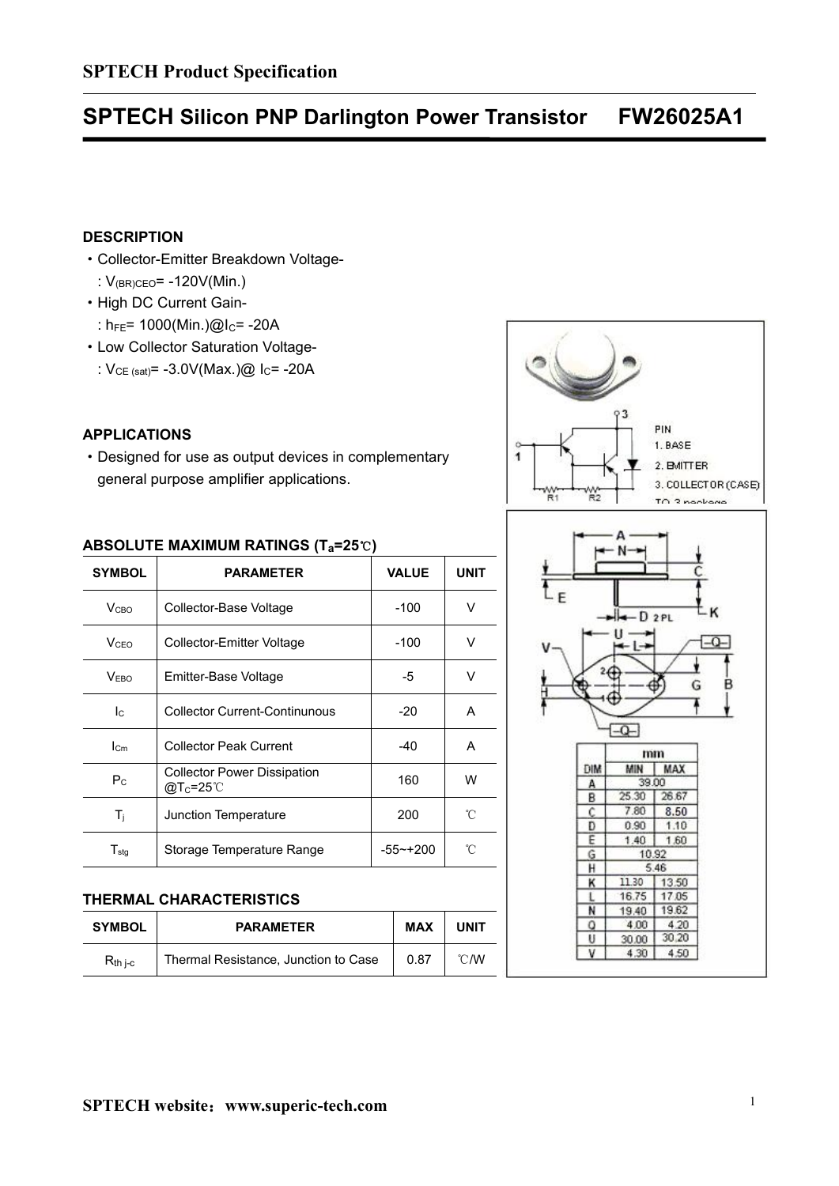# **SPTECH Silicon PNP Darlington Power Transistor FW26025A1**

## **DESCRIPTION**

- ·Collector-Emitter Breakdown Voltage-
	- : V(BR)CEO= -120V(Min.)
- ·High DC Current Gain-
	- :  $h_{FE}$ = 1000(Min.)@I<sub>C</sub>= -20A
- ·Low Collector Saturation Voltage-
- :  $V_{CE (sat)} = -3.0V(Max.)@$  I<sub>C</sub>= -20A

## **APPLICATIONS**

·Designed for use as output devices in complementary general purpose amplifier applications.

|                             | ABSOLUTE MAXIMUM RATINGS ( $T_a=25^\circ$ C)               |              |             |          |             |                     |
|-----------------------------|------------------------------------------------------------|--------------|-------------|----------|-------------|---------------------|
| <b>SYMBOL</b>               | <b>PARAMETER</b>                                           | <b>VALUE</b> | <b>UNIT</b> |          |             |                     |
| V <sub>CBO</sub>            | Collector-Base Voltage                                     | $-100$       | $\vee$      |          | $H - D 2PL$ |                     |
| <b>V<sub>CEO</sub></b>      | Collector-Emitter Voltage                                  | $-100$       | $\vee$      |          |             |                     |
| V <sub>EBO</sub>            | Emitter-Base Voltage                                       | -5           | $\vee$      |          |             |                     |
| Ic                          | <b>Collector Current-Continunous</b>                       | $-20$        | A           |          |             |                     |
| $I_{\text{cm}}$             | <b>Collector Peak Current</b>                              | $-40$        | A           |          |             | mm                  |
| $P_{\rm C}$                 | <b>Collector Power Dissipation</b><br>@T <sub>c</sub> =25℃ | 160          | W           | DIM<br>A | MIN         | <b>MAX</b><br>39.00 |
|                             |                                                            |              |             | B        | 25.30       | 26.67               |
| $T_{j}$                     | Junction Temperature                                       | 200          | °C          | c        | 7.80        | 8.50                |
|                             |                                                            |              |             | D        | 0.90        | 1.10                |
|                             |                                                            |              |             | E        | 1.40        | 1.60                |
| $\mathsf{T}_{\textsf{stg}}$ | Storage Temperature Range                                  | -55~+200     | °C          | G        |             | 10.92               |

### **THERMAL CHARACTERISTICS**

|               |                                      |            |      | r | 19.40 | 19.62 |
|---------------|--------------------------------------|------------|------|---|-------|-------|
| <b>SYMBOL</b> | <b>PARAMETER</b>                     | <b>MAX</b> | UNIT |   | 4.00  | 4.20  |
|               |                                      |            |      |   | 30.00 | 30.20 |
| $R_{th\ j-c}$ | Thermal Resistance, Junction to Case | 0.87       | °C/W |   |       | 4.50  |